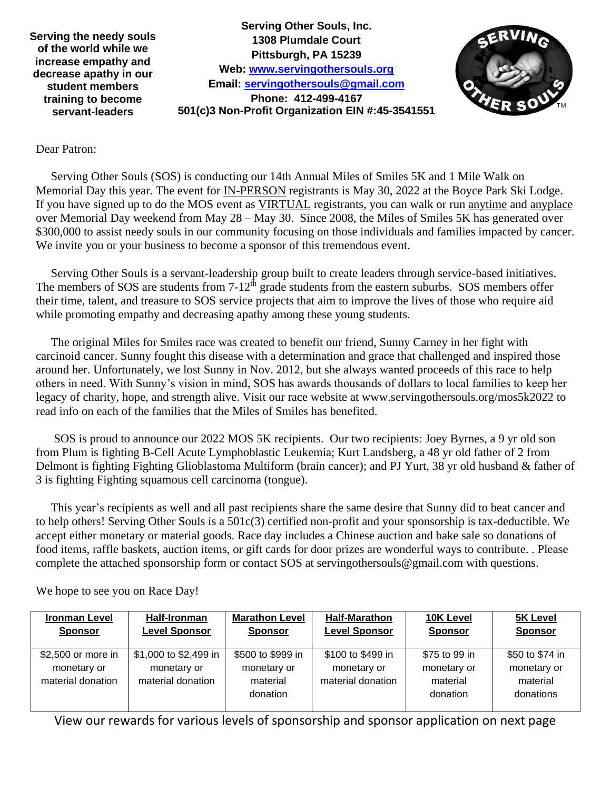**Serving the needy souls of the world while we increase empathy and decrease apathy in our student members training to become servant-leaders**

 **Pittsburgh, PA 15239 Web: [www.servingothersouls.org](http://www.servingothersouls.org/) Serving Other Souls, Inc. 1308 Plumdale Court Email: [servingothersouls@gmail.com](mailto:servingothersouls@gmail.com) Phone: 412-499-4167 501(c)3 Non-Profit Organization EIN #:45-3541551**



## Dear Patron:

 Serving Other Souls (SOS) is conducting our 14th Annual Miles of Smiles 5K and 1 Mile Walk on Memorial Day this year. The event for **IN-PERSON** registrants is May 30, 2022 at the Boyce Park Ski Lodge. If you have signed up to do the MOS event as VIRTUAL registrants, you can walk or run anytime and anyplace over Memorial Day weekend from May 28 – May 30. Since 2008, the Miles of Smiles 5K has generated over \$300,000 to assist needy souls in our community focusing on those individuals and families impacted by cancer. We invite you or your business to become a sponsor of this tremendous event.

 Serving Other Souls is a servant-leadership group built to create leaders through service-based initiatives. The members of SOS are students from  $7-12<sup>th</sup>$  grade students from the eastern suburbs. SOS members offer their time, talent, and treasure to SOS service projects that aim to improve the lives of those who require aid while promoting empathy and decreasing apathy among these young students.

 The original Miles for Smiles race was created to benefit our friend, Sunny Carney in her fight with carcinoid cancer. Sunny fought this disease with a determination and grace that challenged and inspired those around her. Unfortunately, we lost Sunny in Nov. 2012, but she always wanted proceeds of this race to help others in need. With Sunny's vision in mind, SOS has awards thousands of dollars to local families to keep her legacy of charity, hope, and strength alive. Visit our race website at www.servingothersouls.org/mos5k2022 to read info on each of the families that the Miles of Smiles has benefited.

 SOS is proud to announce our 2022 MOS 5K recipients. Our two recipients: Joey Byrnes, a 9 yr old son from Plum is fighting B-Cell Acute Lymphoblastic Leukemia; Kurt Landsberg, a 48 yr old father of 2 from Delmont is fighting Fighting Glioblastoma Multiform (brain cancer); and PJ Yurt, 38 yr old husband & father of 3 is fighting Fighting squamous cell carcinoma (tongue).

 This year's recipients as well and all past recipients share the same desire that Sunny did to beat cancer and to help others! Serving Other Souls is a 501c(3) certified non-profit and your sponsorship is tax-deductible. We accept either monetary or material goods. Race day includes a Chinese auction and bake sale so donations of food items, raffle baskets, auction items, or gift cards for door prizes are wonderful ways to contribute. . Please complete the attached sponsorship form or contact SOS at servingothersouls@gmail.com with questions.

**Ironman Level Sponsor Half-Ironman Level Sponsor Marathon Level Sponsor Half-Marathon Level Sponsor 10K Level Sponsor 5K Level Sponsor** \$2,500 or more in monetary or material donation \$1,000 to \$2,499 in monetary or material donation \$500 to \$999 in monetary or material donation \$100 to \$499 in monetary or material donation \$75 to 99 in monetary or material donation \$50 to \$74 in monetary or material donations

We hope to see you on Race Day!

View our rewards for various levels of sponsorship and sponsor application on next page